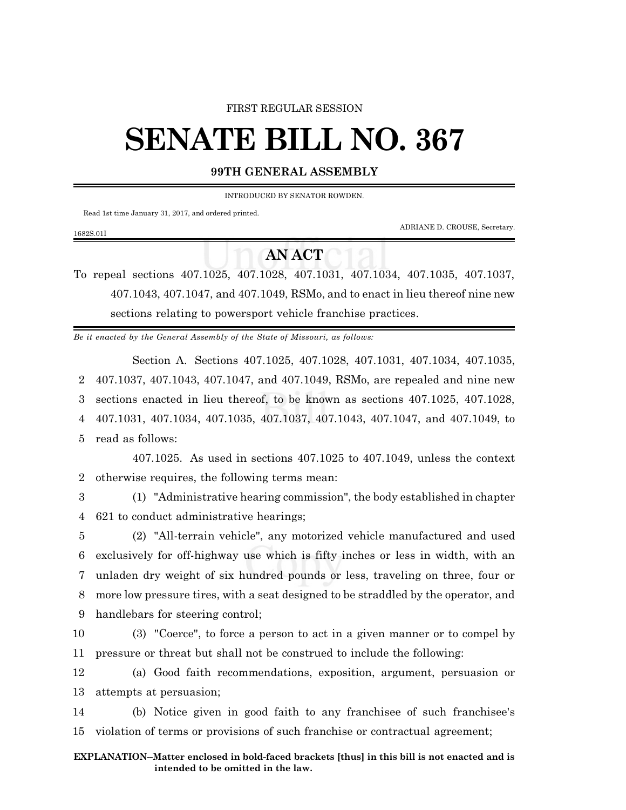### FIRST REGULAR SESSION

# **SENATE BILL NO. 367**

## **99TH GENERAL ASSEMBLY**

INTRODUCED BY SENATOR ROWDEN.

Read 1st time January 31, 2017, and ordered printed.

1682S.01I

ADRIANE D. CROUSE, Secretary.

# **AN ACT**

To repeal sections 407.1025, 407.1028, 407.1031, 407.1034, 407.1035, 407.1037, 407.1043, 407.1047, and 407.1049, RSMo, and to enact in lieu thereof nine new sections relating to powersport vehicle franchise practices.

*Be it enacted by the General Assembly of the State of Missouri, as follows:*

Section A. Sections 407.1025, 407.1028, 407.1031, 407.1034, 407.1035, 407.1037, 407.1043, 407.1047, and 407.1049, RSMo, are repealed and nine new sections enacted in lieu thereof, to be known as sections 407.1025, 407.1028, 407.1031, 407.1034, 407.1035, 407.1037, 407.1043, 407.1047, and 407.1049, to read as follows:

407.1025. As used in sections 407.1025 to 407.1049, unless the context 2 otherwise requires, the following terms mean:

3 (1) "Administrative hearing commission", the body established in chapter 4 621 to conduct administrative hearings;

 (2) "All-terrain vehicle", any motorized vehicle manufactured and used exclusively for off-highway use which is fifty inches or less in width, with an unladen dry weight of six hundred pounds or less, traveling on three, four or more low pressure tires, with a seat designed to be straddled by the operator, and handlebars for steering control;

10 (3) "Coerce", to force a person to act in a given manner or to compel by 11 pressure or threat but shall not be construed to include the following:

12 (a) Good faith recommendations, exposition, argument, persuasion or 13 attempts at persuasion;

14 (b) Notice given in good faith to any franchisee of such franchisee's 15 violation of terms or provisions of such franchise or contractual agreement;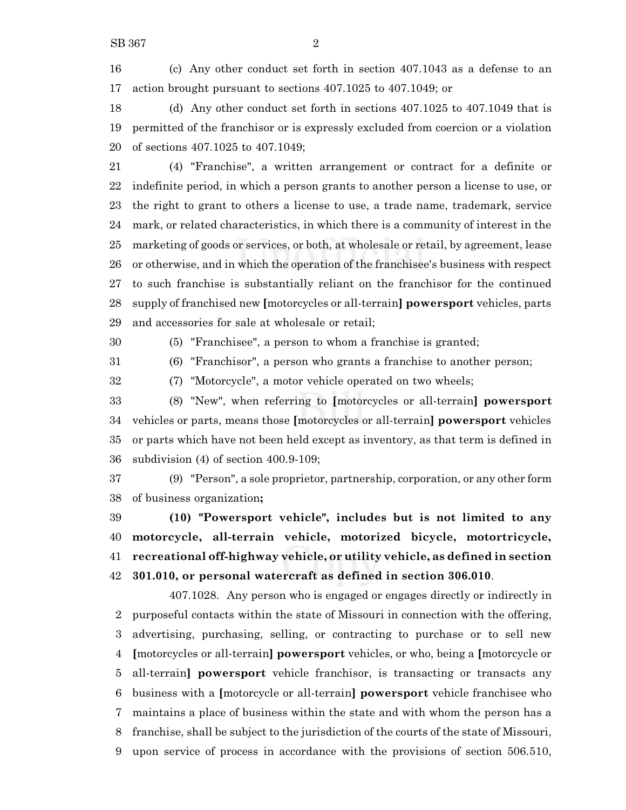(c) Any other conduct set forth in section 407.1043 as a defense to an action brought pursuant to sections 407.1025 to 407.1049; or

 (d) Any other conduct set forth in sections 407.1025 to 407.1049 that is permitted of the franchisor or is expressly excluded from coercion or a violation of sections 407.1025 to 407.1049;

 (4) "Franchise", a written arrangement or contract for a definite or indefinite period, in which a person grants to another person a license to use, or the right to grant to others a license to use, a trade name, trademark, service mark, or related characteristics, in which there is a community of interest in the marketing of goods or services, or both, at wholesale or retail, by agreement, lease or otherwise, and in which the operation of the franchisee's business with respect to such franchise is substantially reliant on the franchisor for the continued supply of franchised new **[**motorcycles or all-terrain**] powersport** vehicles, parts and accessories for sale at wholesale or retail;

(5) "Franchisee", a person to whom a franchise is granted;

(6) "Franchisor", a person who grants a franchise to another person;

(7) "Motorcycle", a motor vehicle operated on two wheels;

 (8) "New", when referring to **[**motorcycles or all-terrain**] powersport** vehicles or parts, means those **[**motorcycles or all-terrain**] powersport** vehicles or parts which have not been held except as inventory, as that term is defined in subdivision (4) of section 400.9-109;

 (9) "Person", a sole proprietor, partnership, corporation, or any other form of business organization**;**

 **(10) "Powersport vehicle", includes but is not limited to any motorcycle, all-terrain vehicle, motorized bicycle, motortricycle, recreational off-highway vehicle, or utility vehicle, as defined in section 301.010, or personal watercraft as defined in section 306.010**.

407.1028. Any person who is engaged or engages directly or indirectly in purposeful contacts within the state of Missouri in connection with the offering, advertising, purchasing, selling, or contracting to purchase or to sell new **[**motorcycles or all-terrain**] powersport** vehicles, or who, being a **[**motorcycle or all-terrain**] powersport** vehicle franchisor, is transacting or transacts any business with a **[**motorcycle or all-terrain**] powersport** vehicle franchisee who maintains a place of business within the state and with whom the person has a franchise, shall be subject to the jurisdiction of the courts of the state of Missouri, upon service of process in accordance with the provisions of section 506.510,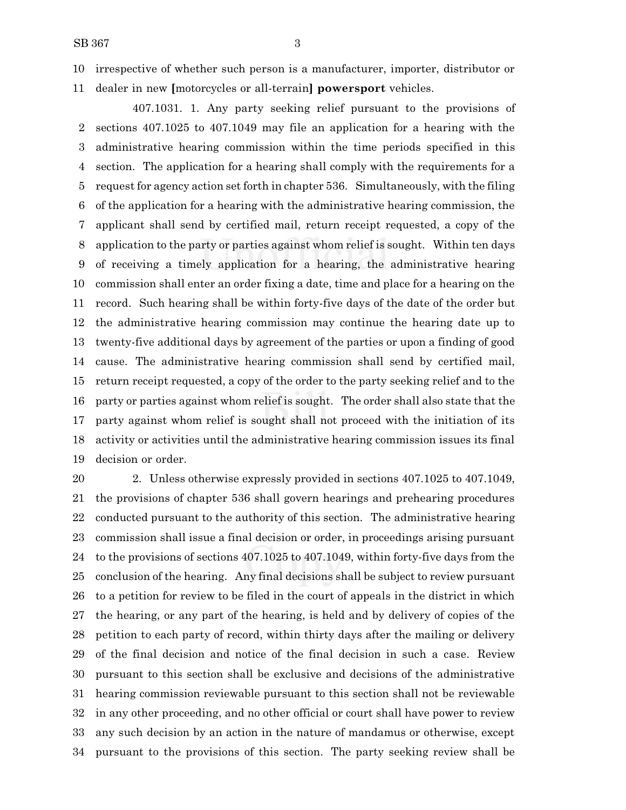irrespective of whether such person is a manufacturer, importer, distributor or dealer in new **[**motorcycles or all-terrain**] powersport** vehicles.

407.1031. 1. Any party seeking relief pursuant to the provisions of sections 407.1025 to 407.1049 may file an application for a hearing with the administrative hearing commission within the time periods specified in this section. The application for a hearing shall comply with the requirements for a request for agency action set forth in chapter 536. Simultaneously, with the filing of the application for a hearing with the administrative hearing commission, the applicant shall send by certified mail, return receipt requested, a copy of the application to the party or parties against whom relief is sought. Within ten days of receiving a timely application for a hearing, the administrative hearing commission shall enter an order fixing a date, time and place for a hearing on the record. Such hearing shall be within forty-five days of the date of the order but the administrative hearing commission may continue the hearing date up to twenty-five additional days by agreement of the parties or upon a finding of good cause. The administrative hearing commission shall send by certified mail, return receipt requested, a copy of the order to the party seeking relief and to the party or parties against whom relief is sought. The order shall also state that the party against whom relief is sought shall not proceed with the initiation of its activity or activities until the administrative hearing commission issues its final decision or order.

 2. Unless otherwise expressly provided in sections 407.1025 to 407.1049, the provisions of chapter 536 shall govern hearings and prehearing procedures conducted pursuant to the authority of this section. The administrative hearing commission shall issue a final decision or order, in proceedings arising pursuant to the provisions of sections 407.1025 to 407.1049, within forty-five days from the conclusion of the hearing. Any final decisions shall be subject to review pursuant to a petition for review to be filed in the court of appeals in the district in which the hearing, or any part of the hearing, is held and by delivery of copies of the petition to each party of record, within thirty days after the mailing or delivery of the final decision and notice of the final decision in such a case. Review pursuant to this section shall be exclusive and decisions of the administrative hearing commission reviewable pursuant to this section shall not be reviewable in any other proceeding, and no other official or court shall have power to review any such decision by an action in the nature of mandamus or otherwise, except pursuant to the provisions of this section. The party seeking review shall be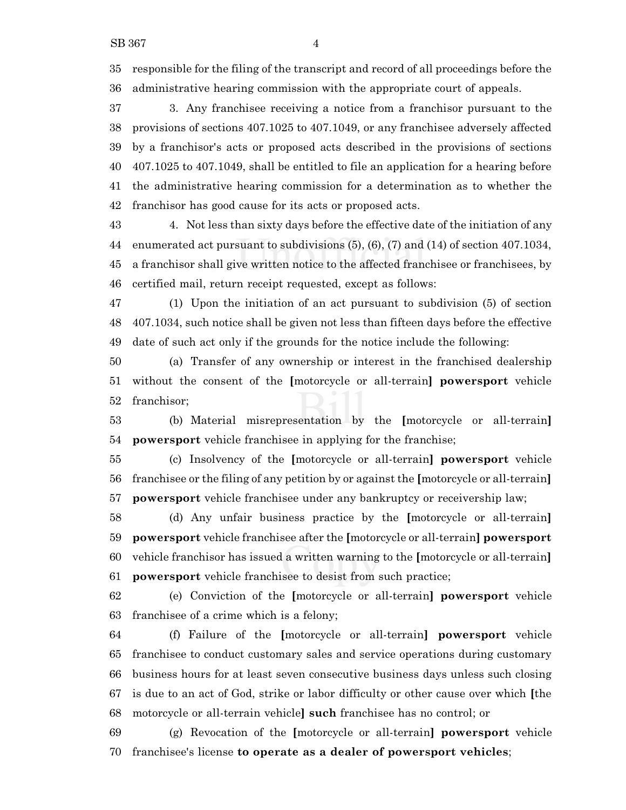responsible for the filing of the transcript and record of all proceedings before the administrative hearing commission with the appropriate court of appeals.

 3. Any franchisee receiving a notice from a franchisor pursuant to the provisions of sections 407.1025 to 407.1049, or any franchisee adversely affected by a franchisor's acts or proposed acts described in the provisions of sections 407.1025 to 407.1049, shall be entitled to file an application for a hearing before the administrative hearing commission for a determination as to whether the franchisor has good cause for its acts or proposed acts.

 4. Not less than sixty days before the effective date of the initiation of any enumerated act pursuant to subdivisions (5), (6), (7) and (14) of section 407.1034, a franchisor shall give written notice to the affected franchisee or franchisees, by certified mail, return receipt requested, except as follows:

 (1) Upon the initiation of an act pursuant to subdivision (5) of section 407.1034, such notice shall be given not less than fifteen days before the effective date of such act only if the grounds for the notice include the following:

 (a) Transfer of any ownership or interest in the franchised dealership without the consent of the **[**motorcycle or all-terrain**] powersport** vehicle franchisor;

 (b) Material misrepresentation by the **[**motorcycle or all-terrain**] powersport** vehicle franchisee in applying for the franchise;

 (c) Insolvency of the **[**motorcycle or all-terrain**] powersport** vehicle franchisee or the filing of any petition by or against the **[**motorcycle or all-terrain**] powersport** vehicle franchisee under any bankruptcy or receivership law;

 (d) Any unfair business practice by the **[**motorcycle or all-terrain**] powersport** vehicle franchisee after the **[**motorcycle or all-terrain**] powersport** vehicle franchisor has issued a written warning to the **[**motorcycle or all-terrain**] powersport** vehicle franchisee to desist from such practice;

 (e) Conviction of the **[**motorcycle or all-terrain**] powersport** vehicle franchisee of a crime which is a felony;

 (f) Failure of the **[**motorcycle or all-terrain**] powersport** vehicle franchisee to conduct customary sales and service operations during customary business hours for at least seven consecutive business days unless such closing is due to an act of God, strike or labor difficulty or other cause over which **[**the motorcycle or all-terrain vehicle**] such** franchisee has no control; or

 (g) Revocation of the **[**motorcycle or all-terrain**] powersport** vehicle franchisee's license **to operate as a dealer of powersport vehicles**;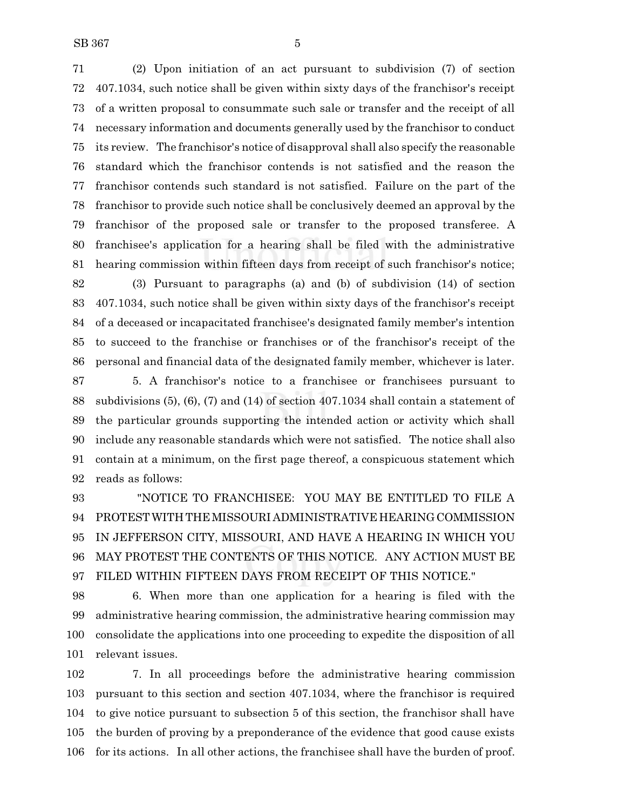(2) Upon initiation of an act pursuant to subdivision (7) of section 407.1034, such notice shall be given within sixty days of the franchisor's receipt of a written proposal to consummate such sale or transfer and the receipt of all necessary information and documents generally used by the franchisor to conduct its review. The franchisor's notice of disapproval shall also specify the reasonable standard which the franchisor contends is not satisfied and the reason the franchisor contends such standard is not satisfied. Failure on the part of the franchisor to provide such notice shall be conclusively deemed an approval by the franchisor of the proposed sale or transfer to the proposed transferee. A franchisee's application for a hearing shall be filed with the administrative hearing commission within fifteen days from receipt of such franchisor's notice; (3) Pursuant to paragraphs (a) and (b) of subdivision (14) of section

 407.1034, such notice shall be given within sixty days of the franchisor's receipt of a deceased or incapacitated franchisee's designated family member's intention to succeed to the franchise or franchises or of the franchisor's receipt of the personal and financial data of the designated family member, whichever is later.

 5. A franchisor's notice to a franchisee or franchisees pursuant to subdivisions (5), (6), (7) and (14) of section 407.1034 shall contain a statement of the particular grounds supporting the intended action or activity which shall include any reasonable standards which were not satisfied. The notice shall also contain at a minimum, on the first page thereof, a conspicuous statement which reads as follows:

 "NOTICE TO FRANCHISEE: YOU MAY BE ENTITLED TO FILE A PROTEST WITH THEMISSOURI ADMINISTRATIVE HEARINGCOMMISSION IN JEFFERSON CITY, MISSOURI, AND HAVE A HEARING IN WHICH YOU MAY PROTEST THE CONTENTS OF THIS NOTICE. ANY ACTION MUST BE FILED WITHIN FIFTEEN DAYS FROM RECEIPT OF THIS NOTICE."

 6. When more than one application for a hearing is filed with the administrative hearing commission, the administrative hearing commission may consolidate the applications into one proceeding to expedite the disposition of all relevant issues.

 7. In all proceedings before the administrative hearing commission pursuant to this section and section 407.1034, where the franchisor is required to give notice pursuant to subsection 5 of this section, the franchisor shall have the burden of proving by a preponderance of the evidence that good cause exists for its actions. In all other actions, the franchisee shall have the burden of proof.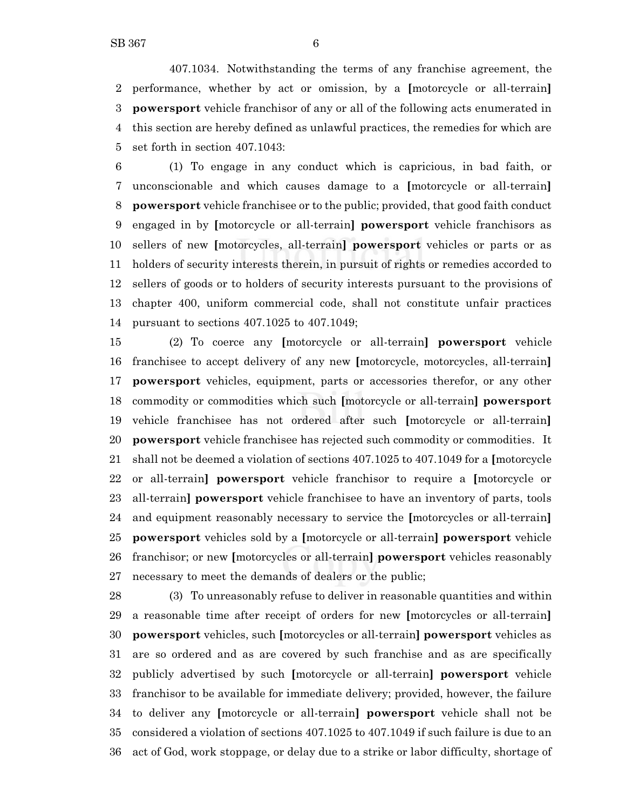407.1034. Notwithstanding the terms of any franchise agreement, the performance, whether by act or omission, by a **[**motorcycle or all-terrain**] powersport** vehicle franchisor of any or all of the following acts enumerated in this section are hereby defined as unlawful practices, the remedies for which are set forth in section 407.1043:

 (1) To engage in any conduct which is capricious, in bad faith, or unconscionable and which causes damage to a **[**motorcycle or all-terrain**] powersport** vehicle franchisee or to the public; provided, that good faith conduct engaged in by **[**motorcycle or all-terrain**] powersport** vehicle franchisors as sellers of new **[**motorcycles, all-terrain**] powersport** vehicles or parts or as holders of security interests therein, in pursuit of rights or remedies accorded to sellers of goods or to holders of security interests pursuant to the provisions of chapter 400, uniform commercial code, shall not constitute unfair practices pursuant to sections 407.1025 to 407.1049;

 (2) To coerce any **[**motorcycle or all-terrain**] powersport** vehicle franchisee to accept delivery of any new **[**motorcycle, motorcycles, all-terrain**] powersport** vehicles, equipment, parts or accessories therefor, or any other commodity or commodities which such **[**motorcycle or all-terrain**] powersport** vehicle franchisee has not ordered after such **[**motorcycle or all-terrain**] powersport** vehicle franchisee has rejected such commodity or commodities. It shall not be deemed a violation of sections 407.1025 to 407.1049 for a **[**motorcycle or all-terrain**] powersport** vehicle franchisor to require a **[**motorcycle or all-terrain**] powersport** vehicle franchisee to have an inventory of parts, tools and equipment reasonably necessary to service the **[**motorcycles or all-terrain**] powersport** vehicles sold by a **[**motorcycle or all-terrain**] powersport** vehicle franchisor; or new **[**motorcycles or all-terrain**] powersport** vehicles reasonably necessary to meet the demands of dealers or the public;

 (3) To unreasonably refuse to deliver in reasonable quantities and within a reasonable time after receipt of orders for new **[**motorcycles or all-terrain**] powersport** vehicles, such **[**motorcycles or all-terrain**] powersport** vehicles as are so ordered and as are covered by such franchise and as are specifically publicly advertised by such **[**motorcycle or all-terrain**] powersport** vehicle franchisor to be available for immediate delivery; provided, however, the failure to deliver any **[**motorcycle or all-terrain**] powersport** vehicle shall not be considered a violation of sections 407.1025 to 407.1049 if such failure is due to an act of God, work stoppage, or delay due to a strike or labor difficulty, shortage of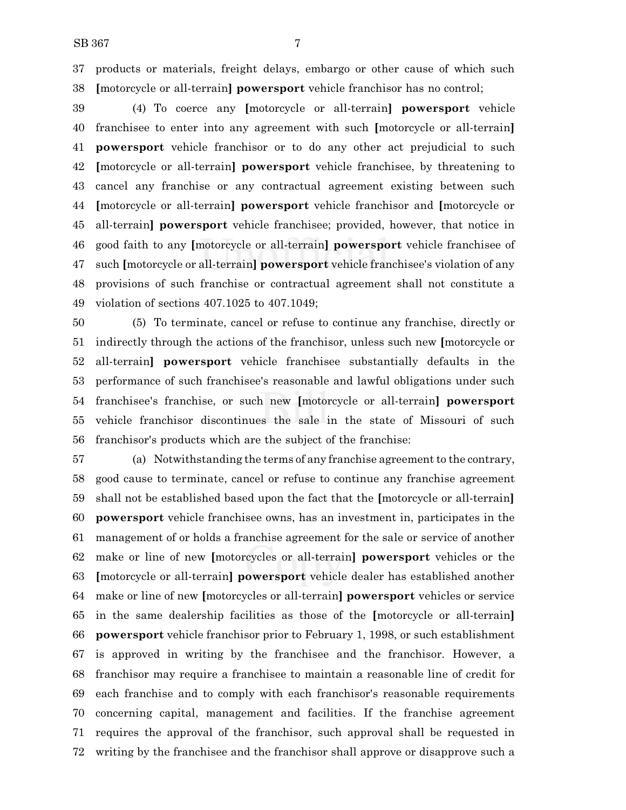products or materials, freight delays, embargo or other cause of which such **[**motorcycle or all-terrain**] powersport** vehicle franchisor has no control;

 (4) To coerce any **[**motorcycle or all-terrain**] powersport** vehicle franchisee to enter into any agreement with such **[**motorcycle or all-terrain**] powersport** vehicle franchisor or to do any other act prejudicial to such **[**motorcycle or all-terrain**] powersport** vehicle franchisee, by threatening to cancel any franchise or any contractual agreement existing between such **[**motorcycle or all-terrain**] powersport** vehicle franchisor and **[**motorcycle or all-terrain**] powersport** vehicle franchisee; provided, however, that notice in good faith to any **[**motorcycle or all-terrain**] powersport** vehicle franchisee of such **[**motorcycle or all-terrain**] powersport** vehicle franchisee's violation of any provisions of such franchise or contractual agreement shall not constitute a violation of sections 407.1025 to 407.1049;

 (5) To terminate, cancel or refuse to continue any franchise, directly or indirectly through the actions of the franchisor, unless such new **[**motorcycle or all-terrain**] powersport** vehicle franchisee substantially defaults in the performance of such franchisee's reasonable and lawful obligations under such franchisee's franchise, or such new **[**motorcycle or all-terrain**] powersport** vehicle franchisor discontinues the sale in the state of Missouri of such franchisor's products which are the subject of the franchise:

 (a) Notwithstanding the terms of any franchise agreement to the contrary, good cause to terminate, cancel or refuse to continue any franchise agreement shall not be established based upon the fact that the **[**motorcycle or all-terrain**] powersport** vehicle franchisee owns, has an investment in, participates in the management of or holds a franchise agreement for the sale or service of another make or line of new **[**motorcycles or all-terrain**] powersport** vehicles or the **[**motorcycle or all-terrain**] powersport** vehicle dealer has established another make or line of new **[**motorcycles or all-terrain**] powersport** vehicles or service in the same dealership facilities as those of the **[**motorcycle or all-terrain**] powersport** vehicle franchisor prior to February 1, 1998, or such establishment is approved in writing by the franchisee and the franchisor. However, a franchisor may require a franchisee to maintain a reasonable line of credit for each franchise and to comply with each franchisor's reasonable requirements concerning capital, management and facilities. If the franchise agreement requires the approval of the franchisor, such approval shall be requested in writing by the franchisee and the franchisor shall approve or disapprove such a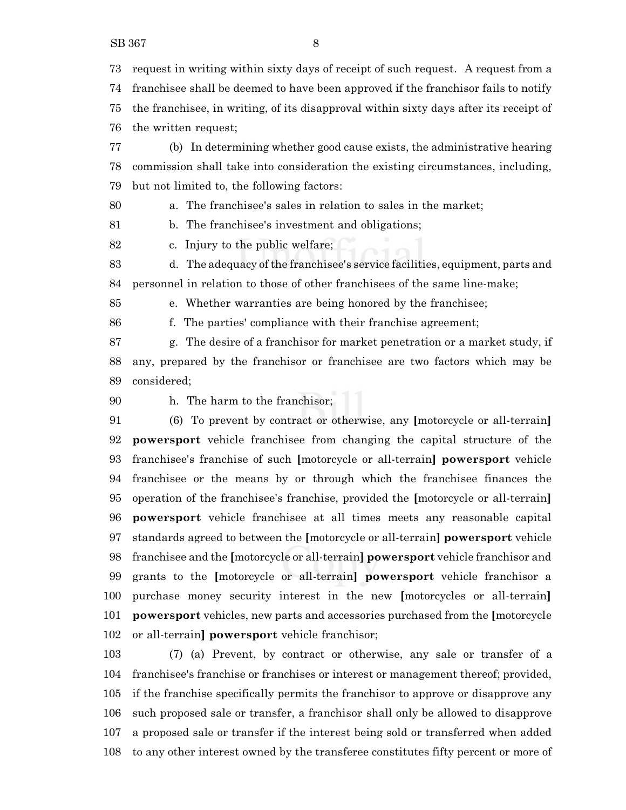request in writing within sixty days of receipt of such request. A request from a franchisee shall be deemed to have been approved if the franchisor fails to notify the franchisee, in writing, of its disapproval within sixty days after its receipt of the written request;

 (b) In determining whether good cause exists, the administrative hearing commission shall take into consideration the existing circumstances, including, but not limited to, the following factors:

a. The franchisee's sales in relation to sales in the market;

b. The franchisee's investment and obligations;

c. Injury to the public welfare;

 d. The adequacy ofthe franchisee's service facilities, equipment, parts and personnel in relation to those of other franchisees of the same line-make;

e. Whether warranties are being honored by the franchisee;

f. The parties' compliance with their franchise agreement;

 g. The desire of a franchisor for market penetration or a market study, if any, prepared by the franchisor or franchisee are two factors which may be considered;

h. The harm to the franchisor;

 (6) To prevent by contract or otherwise, any **[**motorcycle or all-terrain**] powersport** vehicle franchisee from changing the capital structure of the franchisee's franchise of such **[**motorcycle or all-terrain**] powersport** vehicle franchisee or the means by or through which the franchisee finances the operation of the franchisee's franchise, provided the **[**motorcycle or all-terrain**] powersport** vehicle franchisee at all times meets any reasonable capital standards agreed to between the **[**motorcycle or all-terrain**] powersport** vehicle franchisee and the **[**motorcycle or all-terrain**] powersport** vehicle franchisor and grants to the **[**motorcycle or all-terrain**] powersport** vehicle franchisor a purchase money security interest in the new **[**motorcycles or all-terrain**] powersport** vehicles, new parts and accessories purchased from the **[**motorcycle or all-terrain**] powersport** vehicle franchisor;

 (7) (a) Prevent, by contract or otherwise, any sale or transfer of a franchisee's franchise or franchises or interest or management thereof; provided, if the franchise specifically permits the franchisor to approve or disapprove any such proposed sale or transfer, a franchisor shall only be allowed to disapprove a proposed sale or transfer if the interest being sold or transferred when added to any other interest owned by the transferee constitutes fifty percent or more of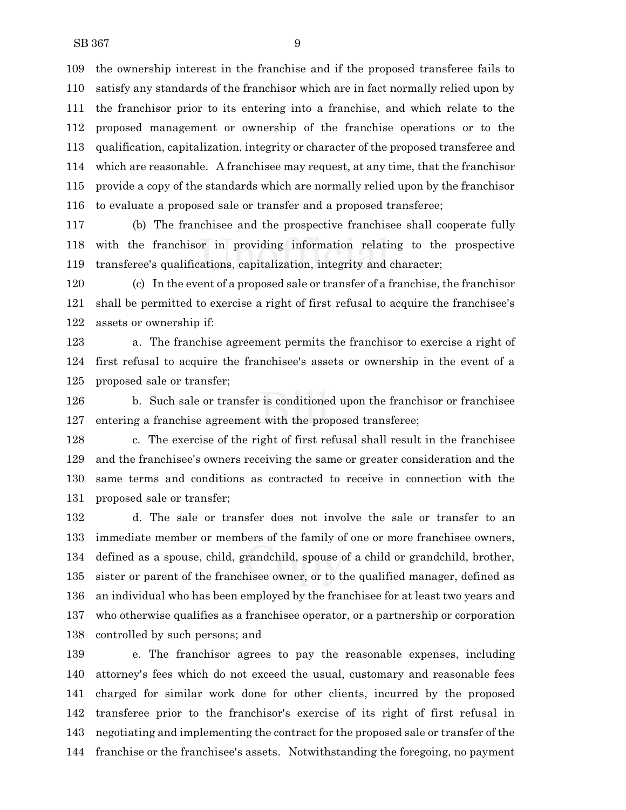the ownership interest in the franchise and if the proposed transferee fails to satisfy any standards of the franchisor which are in fact normally relied upon by the franchisor prior to its entering into a franchise, and which relate to the proposed management or ownership of the franchise operations or to the qualification, capitalization, integrity or character of the proposed transferee and which are reasonable. A franchisee may request, at any time, that the franchisor provide a copy of the standards which are normally relied upon by the franchisor to evaluate a proposed sale or transfer and a proposed transferee;

 (b) The franchisee and the prospective franchisee shall cooperate fully with the franchisor in providing information relating to the prospective transferee's qualifications, capitalization, integrity and character;

 (c) In the event of a proposed sale or transfer of a franchise, the franchisor shall be permitted to exercise a right of first refusal to acquire the franchisee's assets or ownership if:

 a. The franchise agreement permits the franchisor to exercise a right of first refusal to acquire the franchisee's assets or ownership in the event of a proposed sale or transfer;

 b. Such sale or transfer is conditioned upon the franchisor or franchisee entering a franchise agreement with the proposed transferee;

 c. The exercise of the right of first refusal shall result in the franchisee and the franchisee's owners receiving the same or greater consideration and the same terms and conditions as contracted to receive in connection with the proposed sale or transfer;

 d. The sale or transfer does not involve the sale or transfer to an immediate member or members of the family of one or more franchisee owners, defined as a spouse, child, grandchild, spouse of a child or grandchild, brother, sister or parent of the franchisee owner, or to the qualified manager, defined as an individual who has been employed by the franchisee for at least two years and who otherwise qualifies as a franchisee operator, or a partnership or corporation controlled by such persons; and

 e. The franchisor agrees to pay the reasonable expenses, including attorney's fees which do not exceed the usual, customary and reasonable fees charged for similar work done for other clients, incurred by the proposed transferee prior to the franchisor's exercise of its right of first refusal in negotiating and implementing the contract for the proposed sale or transfer of the franchise or the franchisee's assets. Notwithstanding the foregoing, no payment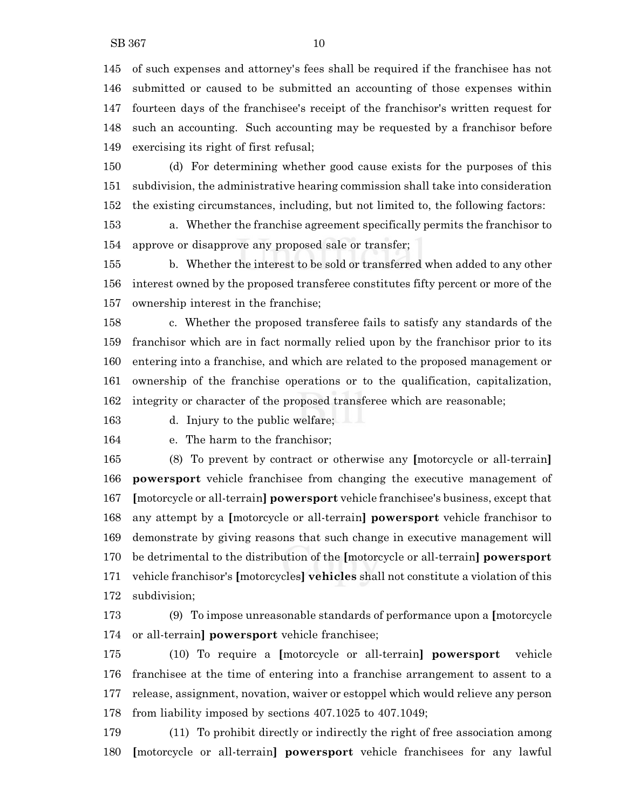SB 367 10

 of such expenses and attorney's fees shall be required if the franchisee has not submitted or caused to be submitted an accounting of those expenses within fourteen days of the franchisee's receipt of the franchisor's written request for such an accounting. Such accounting may be requested by a franchisor before exercising its right of first refusal;

 (d) For determining whether good cause exists for the purposes of this subdivision, the administrative hearing commission shall take into consideration the existing circumstances, including, but not limited to, the following factors:

 a. Whether the franchise agreement specifically permits the franchisor to approve or disapprove any proposed sale or transfer;

 b. Whether the interest to be sold or transferred when added to any other interest owned by the proposed transferee constitutes fifty percent or more of the ownership interest in the franchise;

 c. Whether the proposed transferee fails to satisfy any standards of the franchisor which are in fact normally relied upon by the franchisor prior to its entering into a franchise, and which are related to the proposed management or ownership of the franchise operations or to the qualification, capitalization, integrity or character of the proposed transferee which are reasonable;

d. Injury to the public welfare;

e. The harm to the franchisor;

 (8) To prevent by contract or otherwise any **[**motorcycle or all-terrain**] powersport** vehicle franchisee from changing the executive management of **[**motorcycle or all-terrain**] powersport** vehicle franchisee's business, except that any attempt by a **[**motorcycle or all-terrain**] powersport** vehicle franchisor to demonstrate by giving reasons that such change in executive management will be detrimental to the distribution of the **[**motorcycle or all-terrain**] powersport** vehicle franchisor's **[**motorcycles**] vehicles** shall not constitute a violation of this subdivision;

 (9) To impose unreasonable standards of performance upon a **[**motorcycle or all-terrain**] powersport** vehicle franchisee;

 (10) To require a **[**motorcycle or all-terrain**] powersport** vehicle franchisee at the time of entering into a franchise arrangement to assent to a release, assignment, novation, waiver or estoppel which would relieve any person from liability imposed by sections 407.1025 to 407.1049;

 (11) To prohibit directly or indirectly the right of free association among **[**motorcycle or all-terrain**] powersport** vehicle franchisees for any lawful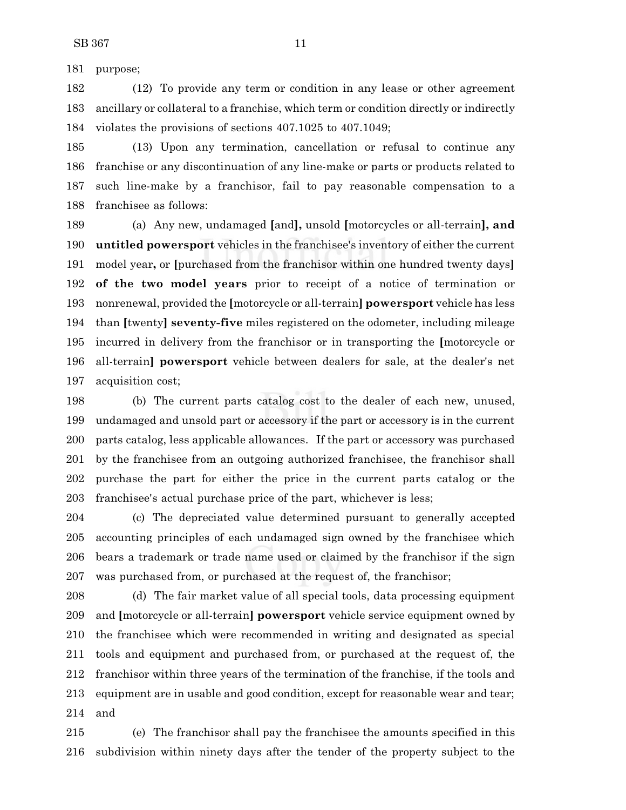purpose;

 (12) To provide any term or condition in any lease or other agreement ancillary or collateral to a franchise, which term or condition directly or indirectly violates the provisions of sections 407.1025 to 407.1049;

 (13) Upon any termination, cancellation or refusal to continue any franchise or any discontinuation of any line-make or parts or products related to such line-make by a franchisor, fail to pay reasonable compensation to a franchisee as follows:

 (a) Any new, undamaged **[**and**],** unsold **[**motorcycles or all-terrain**], and untitled powersport** vehicles in the franchisee's inventory of either the current model year**,** or **[**purchased from the franchisor within one hundred twenty days**] of the two model years** prior to receipt of a notice of termination or nonrenewal, provided the **[**motorcycle or all-terrain**] powersport** vehicle has less than **[**twenty**] seventy-five** miles registered on the odometer, including mileage incurred in delivery from the franchisor or in transporting the **[**motorcycle or all-terrain**] powersport** vehicle between dealers for sale, at the dealer's net acquisition cost;

 (b) The current parts catalog cost to the dealer of each new, unused, undamaged and unsold part or accessory if the part or accessory is in the current parts catalog, less applicable allowances. If the part or accessory was purchased by the franchisee from an outgoing authorized franchisee, the franchisor shall purchase the part for either the price in the current parts catalog or the franchisee's actual purchase price of the part, whichever is less;

 (c) The depreciated value determined pursuant to generally accepted accounting principles of each undamaged sign owned by the franchisee which bears a trademark or trade name used or claimed by the franchisor if the sign was purchased from, or purchased at the request of, the franchisor;

 (d) The fair market value of all special tools, data processing equipment and **[**motorcycle or all-terrain**] powersport** vehicle service equipment owned by the franchisee which were recommended in writing and designated as special tools and equipment and purchased from, or purchased at the request of, the franchisor within three years of the termination of the franchise, if the tools and equipment are in usable and good condition, except for reasonable wear and tear; and

 (e) The franchisor shall pay the franchisee the amounts specified in this subdivision within ninety days after the tender of the property subject to the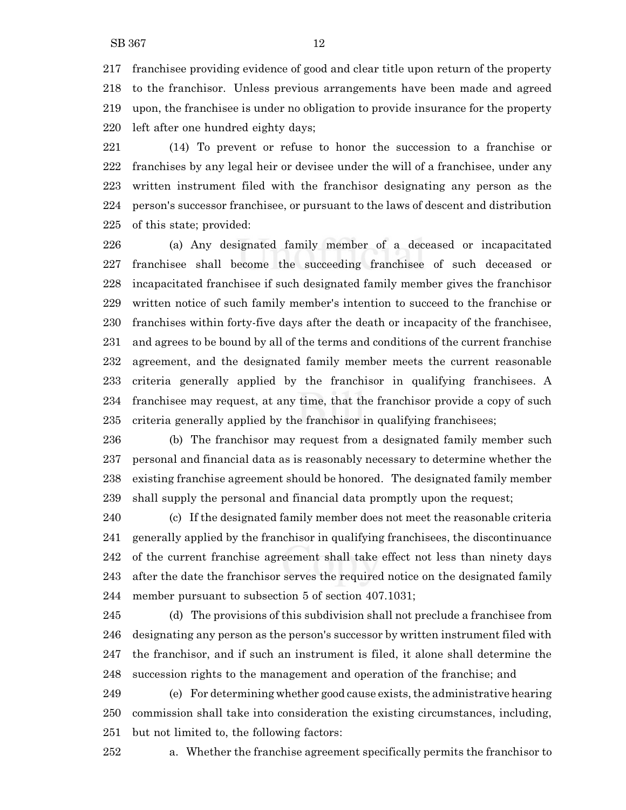franchisee providing evidence of good and clear title upon return of the property to the franchisor. Unless previous arrangements have been made and agreed upon, the franchisee is under no obligation to provide insurance for the property left after one hundred eighty days;

 (14) To prevent or refuse to honor the succession to a franchise or franchises by any legal heir or devisee under the will of a franchisee, under any written instrument filed with the franchisor designating any person as the person's successor franchisee, or pursuant to the laws of descent and distribution of this state; provided:

 (a) Any designated family member of a deceased or incapacitated franchisee shall become the succeeding franchisee of such deceased or incapacitated franchisee if such designated family member gives the franchisor written notice of such family member's intention to succeed to the franchise or franchises within forty-five days after the death or incapacity of the franchisee, and agrees to be bound by all of the terms and conditions of the current franchise agreement, and the designated family member meets the current reasonable criteria generally applied by the franchisor in qualifying franchisees. A franchisee may request, at any time, that the franchisor provide a copy of such criteria generally applied by the franchisor in qualifying franchisees;

 (b) The franchisor may request from a designated family member such personal and financial data as is reasonably necessary to determine whether the existing franchise agreement should be honored. The designated family member shall supply the personal and financial data promptly upon the request;

 (c) If the designated family member does not meet the reasonable criteria generally applied by the franchisor in qualifying franchisees, the discontinuance of the current franchise agreement shall take effect not less than ninety days after the date the franchisor serves the required notice on the designated family member pursuant to subsection 5 of section 407.1031;

 (d) The provisions of this subdivision shall not preclude a franchisee from designating any person as the person's successor by written instrument filed with the franchisor, and if such an instrument is filed, it alone shall determine the succession rights to the management and operation of the franchise; and

 (e) For determining whether good cause exists, the administrative hearing commission shall take into consideration the existing circumstances, including, but not limited to, the following factors:

a. Whether the franchise agreement specifically permits the franchisor to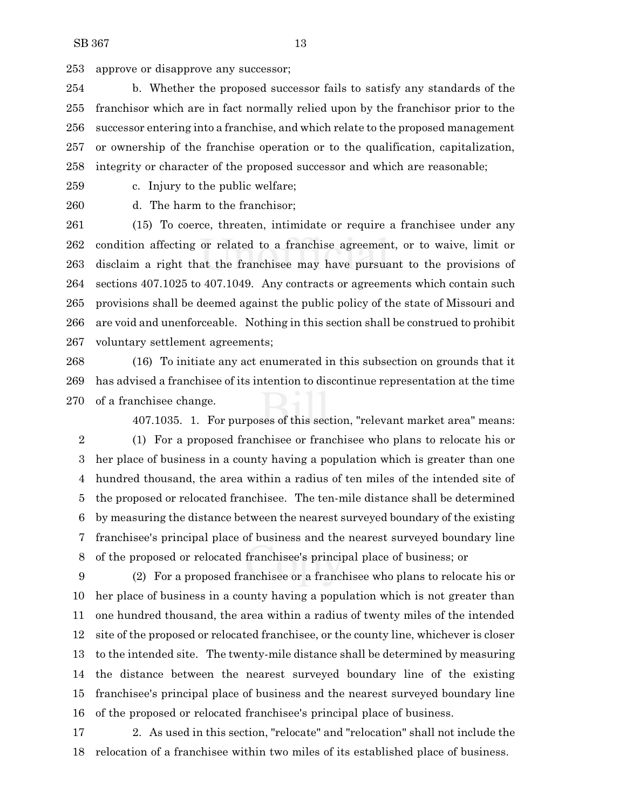approve or disapprove any successor;

 b. Whether the proposed successor fails to satisfy any standards of the franchisor which are in fact normally relied upon by the franchisor prior to the successor entering into a franchise, and which relate to the proposed management or ownership of the franchise operation or to the qualification, capitalization, integrity or character of the proposed successor and which are reasonable;

c. Injury to the public welfare;

d. The harm to the franchisor;

 (15) To coerce, threaten, intimidate or require a franchisee under any condition affecting or related to a franchise agreement, or to waive, limit or disclaim a right that the franchisee may have pursuant to the provisions of sections 407.1025 to 407.1049. Any contracts or agreements which contain such provisions shall be deemed against the public policy of the state of Missouri and are void and unenforceable. Nothing in this section shall be construed to prohibit voluntary settlement agreements;

 (16) To initiate any act enumerated in this subsection on grounds that it has advised a franchisee of its intention to discontinue representation at the time of a franchisee change.

407.1035. 1. For purposes of this section, "relevant market area" means: (1) For a proposed franchisee or franchisee who plans to relocate his or her place of business in a county having a population which is greater than one hundred thousand, the area within a radius of ten miles of the intended site of the proposed or relocated franchisee. The ten-mile distance shall be determined by measuring the distance between the nearest surveyed boundary of the existing franchisee's principal place of business and the nearest surveyed boundary line of the proposed or relocated franchisee's principal place of business; or

 (2) For a proposed franchisee or a franchisee who plans to relocate his or her place of business in a county having a population which is not greater than one hundred thousand, the area within a radius of twenty miles of the intended site of the proposed or relocated franchisee, or the county line, whichever is closer to the intended site. The twenty-mile distance shall be determined by measuring the distance between the nearest surveyed boundary line of the existing franchisee's principal place of business and the nearest surveyed boundary line of the proposed or relocated franchisee's principal place of business.

 2. As used in this section, "relocate" and "relocation" shall not include the relocation of a franchisee within two miles of its established place of business.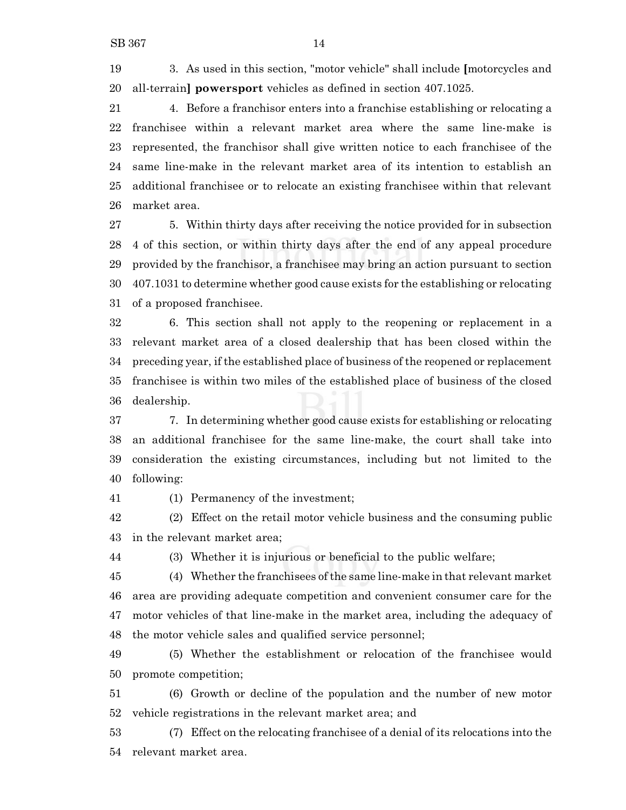3. As used in this section, "motor vehicle" shall include **[**motorcycles and all-terrain**] powersport** vehicles as defined in section 407.1025.

 4. Before a franchisor enters into a franchise establishing or relocating a franchisee within a relevant market area where the same line-make is represented, the franchisor shall give written notice to each franchisee of the same line-make in the relevant market area of its intention to establish an additional franchisee or to relocate an existing franchisee within that relevant market area.

 5. Within thirty days after receiving the notice provided for in subsection 4 of this section, or within thirty days after the end of any appeal procedure provided by the franchisor, a franchisee may bring an action pursuant to section 407.1031 to determine whether good cause exists for the establishing or relocating of a proposed franchisee.

 6. This section shall not apply to the reopening or replacement in a relevant market area of a closed dealership that has been closed within the preceding year, if the established place of business of the reopened or replacement franchisee is within two miles of the established place of business of the closed dealership.

 7. In determining whether good cause exists for establishing or relocating an additional franchisee for the same line-make, the court shall take into consideration the existing circumstances, including but not limited to the following:

(1) Permanency of the investment;

 (2) Effect on the retail motor vehicle business and the consuming public in the relevant market area;

(3) Whether it is injurious or beneficial to the public welfare;

 (4) Whether the franchisees ofthe same line-make in that relevant market area are providing adequate competition and convenient consumer care for the motor vehicles of that line-make in the market area, including the adequacy of the motor vehicle sales and qualified service personnel;

 (5) Whether the establishment or relocation of the franchisee would promote competition;

 (6) Growth or decline of the population and the number of new motor vehicle registrations in the relevant market area; and

 (7) Effect on the relocating franchisee of a denial of its relocations into the relevant market area.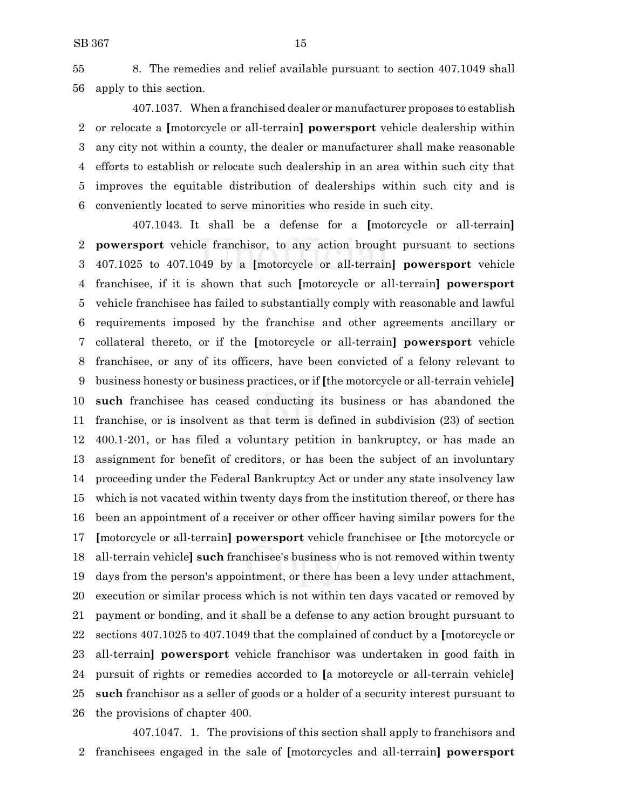8. The remedies and relief available pursuant to section 407.1049 shall apply to this section.

407.1037. When a franchised dealer or manufacturer proposes to establish or relocate a **[**motorcycle or all-terrain**] powersport** vehicle dealership within any city not within a county, the dealer or manufacturer shall make reasonable efforts to establish or relocate such dealership in an area within such city that improves the equitable distribution of dealerships within such city and is conveniently located to serve minorities who reside in such city.

407.1043. It shall be a defense for a **[**motorcycle or all-terrain**] powersport** vehicle franchisor, to any action brought pursuant to sections 407.1025 to 407.1049 by a **[**motorcycle or all-terrain**] powersport** vehicle franchisee, if it is shown that such **[**motorcycle or all-terrain**] powersport** vehicle franchisee has failed to substantially comply with reasonable and lawful requirements imposed by the franchise and other agreements ancillary or collateral thereto, or if the **[**motorcycle or all-terrain**] powersport** vehicle franchisee, or any of its officers, have been convicted of a felony relevant to business honesty or business practices, or if **[**the motorcycle or all-terrain vehicle**] such** franchisee has ceased conducting its business or has abandoned the franchise, or is insolvent as that term is defined in subdivision (23) of section 400.1-201, or has filed a voluntary petition in bankruptcy, or has made an assignment for benefit of creditors, or has been the subject of an involuntary proceeding under the Federal Bankruptcy Act or under any state insolvency law which is not vacated within twenty days from the institution thereof, or there has been an appointment of a receiver or other officer having similar powers for the **[**motorcycle or all-terrain**] powersport** vehicle franchisee or **[**the motorcycle or all-terrain vehicle**] such** franchisee's business who is not removed within twenty days from the person's appointment, or there has been a levy under attachment, execution or similar process which is not within ten days vacated or removed by payment or bonding, and it shall be a defense to any action brought pursuant to sections 407.1025 to 407.1049 that the complained of conduct by a **[**motorcycle or all-terrain**] powersport** vehicle franchisor was undertaken in good faith in pursuit of rights or remedies accorded to **[**a motorcycle or all-terrain vehicle**] such** franchisor as a seller of goods or a holder of a security interest pursuant to the provisions of chapter 400.

407.1047. 1. The provisions of this section shall apply to franchisors and franchisees engaged in the sale of **[**motorcycles and all-terrain**] powersport**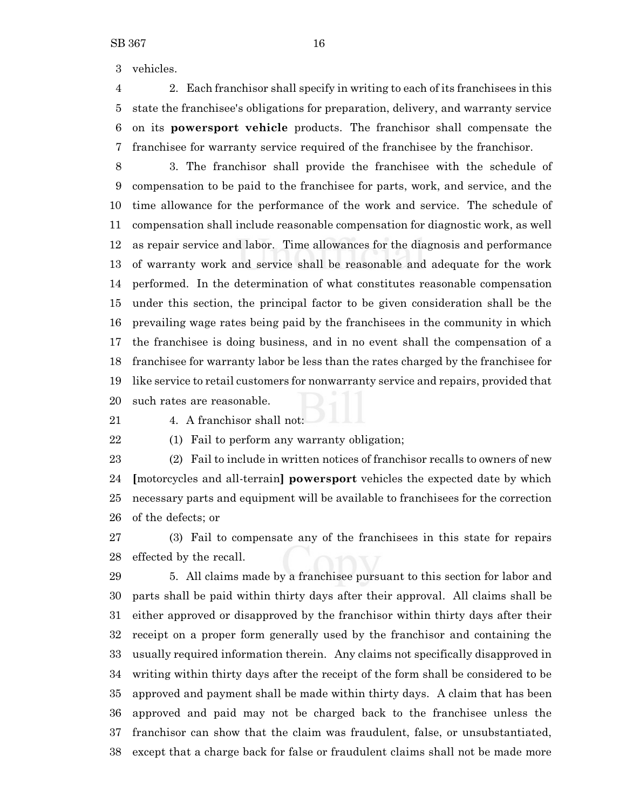vehicles.

 2. Each franchisor shall specify in writing to each of its franchisees in this state the franchisee's obligations for preparation, delivery, and warranty service on its **powersport vehicle** products. The franchisor shall compensate the franchisee for warranty service required of the franchisee by the franchisor.

 3. The franchisor shall provide the franchisee with the schedule of compensation to be paid to the franchisee for parts, work, and service, and the time allowance for the performance of the work and service. The schedule of compensation shall include reasonable compensation for diagnostic work, as well as repair service and labor. Time allowances for the diagnosis and performance of warranty work and service shall be reasonable and adequate for the work performed. In the determination of what constitutes reasonable compensation under this section, the principal factor to be given consideration shall be the prevailing wage rates being paid by the franchisees in the community in which the franchisee is doing business, and in no event shall the compensation of a franchisee for warranty labor be less than the rates charged by the franchisee for like service to retail customers for nonwarranty service and repairs, provided that such rates are reasonable.

4. A franchisor shall not:

(1) Fail to perform any warranty obligation;

 (2) Fail to include in written notices of franchisor recalls to owners of new **[**motorcycles and all-terrain**] powersport** vehicles the expected date by which necessary parts and equipment will be available to franchisees for the correction of the defects; or

 (3) Fail to compensate any of the franchisees in this state for repairs effected by the recall.

 5. All claims made by a franchisee pursuant to this section for labor and parts shall be paid within thirty days after their approval. All claims shall be either approved or disapproved by the franchisor within thirty days after their receipt on a proper form generally used by the franchisor and containing the usually required information therein. Any claims not specifically disapproved in writing within thirty days after the receipt of the form shall be considered to be approved and payment shall be made within thirty days. A claim that has been approved and paid may not be charged back to the franchisee unless the franchisor can show that the claim was fraudulent, false, or unsubstantiated, except that a charge back for false or fraudulent claims shall not be made more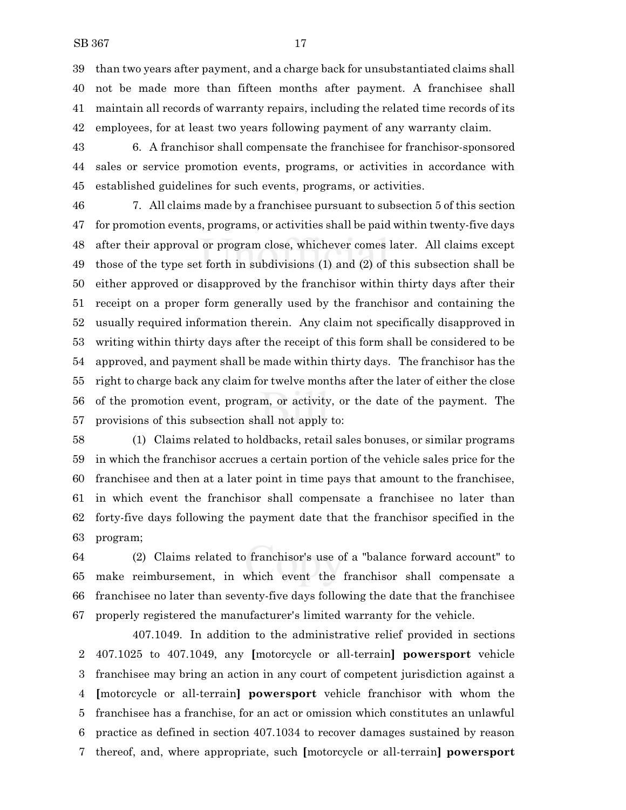than two years after payment, and a charge back for unsubstantiated claims shall not be made more than fifteen months after payment. A franchisee shall maintain all records of warranty repairs, including the related time records of its employees, for at least two years following payment of any warranty claim.

 6. A franchisor shall compensate the franchisee for franchisor-sponsored sales or service promotion events, programs, or activities in accordance with established guidelines for such events, programs, or activities.

 7. All claims made by a franchisee pursuant to subsection 5 of this section for promotion events, programs, or activities shall be paid within twenty-five days after their approval or program close, whichever comes later. All claims except those of the type set forth in subdivisions (1) and (2) of this subsection shall be either approved or disapproved by the franchisor within thirty days after their receipt on a proper form generally used by the franchisor and containing the usually required information therein. Any claim not specifically disapproved in writing within thirty days after the receipt of this form shall be considered to be approved, and payment shall be made within thirty days. The franchisor has the right to charge back any claim for twelve months after the later of either the close of the promotion event, program, or activity, or the date of the payment. The provisions of this subsection shall not apply to:

 (1) Claims related to holdbacks, retail sales bonuses, or similar programs in which the franchisor accrues a certain portion of the vehicle sales price for the franchisee and then at a later point in time pays that amount to the franchisee, in which event the franchisor shall compensate a franchisee no later than forty-five days following the payment date that the franchisor specified in the program;

 (2) Claims related to franchisor's use of a "balance forward account" to make reimbursement, in which event the franchisor shall compensate a franchisee no later than seventy-five days following the date that the franchisee properly registered the manufacturer's limited warranty for the vehicle.

407.1049. In addition to the administrative relief provided in sections 407.1025 to 407.1049, any **[**motorcycle or all-terrain**] powersport** vehicle franchisee may bring an action in any court of competent jurisdiction against a **[**motorcycle or all-terrain**] powersport** vehicle franchisor with whom the franchisee has a franchise, for an act or omission which constitutes an unlawful practice as defined in section 407.1034 to recover damages sustained by reason thereof, and, where appropriate, such **[**motorcycle or all-terrain**] powersport**